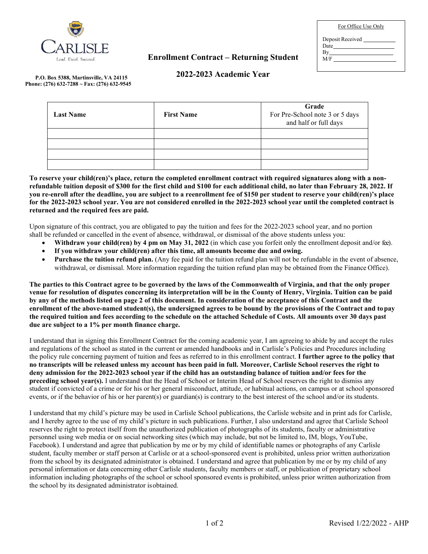

## **Enrollment Contract – Returning Student**

| For Office Use Only |  |
|---------------------|--|
| Deposit Received    |  |
| By                  |  |
| M/F                 |  |
|                     |  |

## **2022-2023 Academic Year**

**P.O. Box 5388, Martinsville, VA 24115 Phone: (276) 632-7288 ~ Fax: (276) 632-9545**

| <b>Last Name</b> | <b>First Name</b> | Grade<br>For Pre-School note 3 or 5 days<br>and half or full days |  |  |  |
|------------------|-------------------|-------------------------------------------------------------------|--|--|--|
|                  |                   |                                                                   |  |  |  |
|                  |                   |                                                                   |  |  |  |
|                  |                   |                                                                   |  |  |  |
|                  |                   |                                                                   |  |  |  |

**To reserve your child(ren)'s place, return the completed enrollment contract with required signatures along with a nonrefundable tuition deposit of \$300 for the first child and \$100 for each additional child, no later than February 28, 2022. If you re-enroll after the deadline, you are subject to a reenrollment fee of \$150 per student to reserve your child(ren)'s place for the 2022-2023 school year. You are not considered enrolled in the 2022-2023 school year until the completed contract is returned and the required fees are paid.**

Upon signature of this contract, you are obligated to pay the tuition and fees for the 2022-2023 school year, and no portion shall be refunded or cancelled in the event of absence, withdrawal, or dismissal of the above students unless you:

- **Withdraw your child(ren) by 4 pm on May 31, 2022** (in which case you forfeit only the enrollment deposit and/or fee).
- **If you withdraw your child(ren) after this time, all amounts become due and owing.**
- **Purchase the tuition refund plan.** (Any fee paid for the tuition refund plan will not be refundable in the event of absence, withdrawal, or dismissal. More information regarding the tuition refund plan may be obtained from the Finance Office).

**The parties to this Contract agree to be governed by the laws of the Commonwealth of Virginia, and that the only proper venue for resolution of disputes concerning its interpretation will be in the County of Henry, Virginia. Tuition can be paid by any of the methods listed on page 2 of this document. In consideration of the acceptance of this Contract and the enrollment of the above-named student(s), the undersigned agrees to be bound by the provisions of the Contract and topay the required tuition and fees according to the schedule on the attached Schedule of Costs. All amounts over 30 days past due are subject to a 1% per month finance charge.**

I understand that in signing this Enrollment Contract for the coming academic year, I am agreeing to abide by and accept the rules and regulations of the school as stated in the current or amended handbooks and in Carlisle's Policies and Procedures including the policy rule concerning payment of tuition and fees as referred to in this enrollment contract. **I further agree to the policy that no transcripts will be released unless my account has been paid in full. Moreover, Carlisle School reserves the right to deny admission for the 2022-2023 school year if the child has an outstanding balance of tuition and/or fees for the preceding school year(s).** I understand that the Head of School or Interim Head of School reserves the right to dismiss any student if convicted of a crime or for his or her general misconduct, attitude, or habitual actions, on campus or at school sponsored events, or if the behavior of his or her parent(s) or guardian(s) is contrary to the best interest of the school and/or its students.

I understand that my child's picture may be used in Carlisle School publications, the Carlisle website and in print ads for Carlisle, and I hereby agree to the use of my child's picture in such publications. Further, I also understand and agree that Carlisle School reserves the right to protect itself from the unauthorized publication of photographs of its students, faculty or administrative personnel using web media or on social networking sites (which may include, but not be limited to, IM, blogs, YouTube, Facebook). I understand and agree that publication by me or by my child of identifiable names or photographs of any Carlisle student, faculty member or staff person at Carlisle or at a school-sponsored event is prohibited, unless prior written authorization from the school by its designated administrator is obtained. I understand and agree that publication by me or by my child of any personal information or data concerning other Carlisle students, faculty members or staff, or publication of proprietary school information including photographs of the school or school sponsored events is prohibited, unless prior written authorization from the school by its designated administrator isobtained.